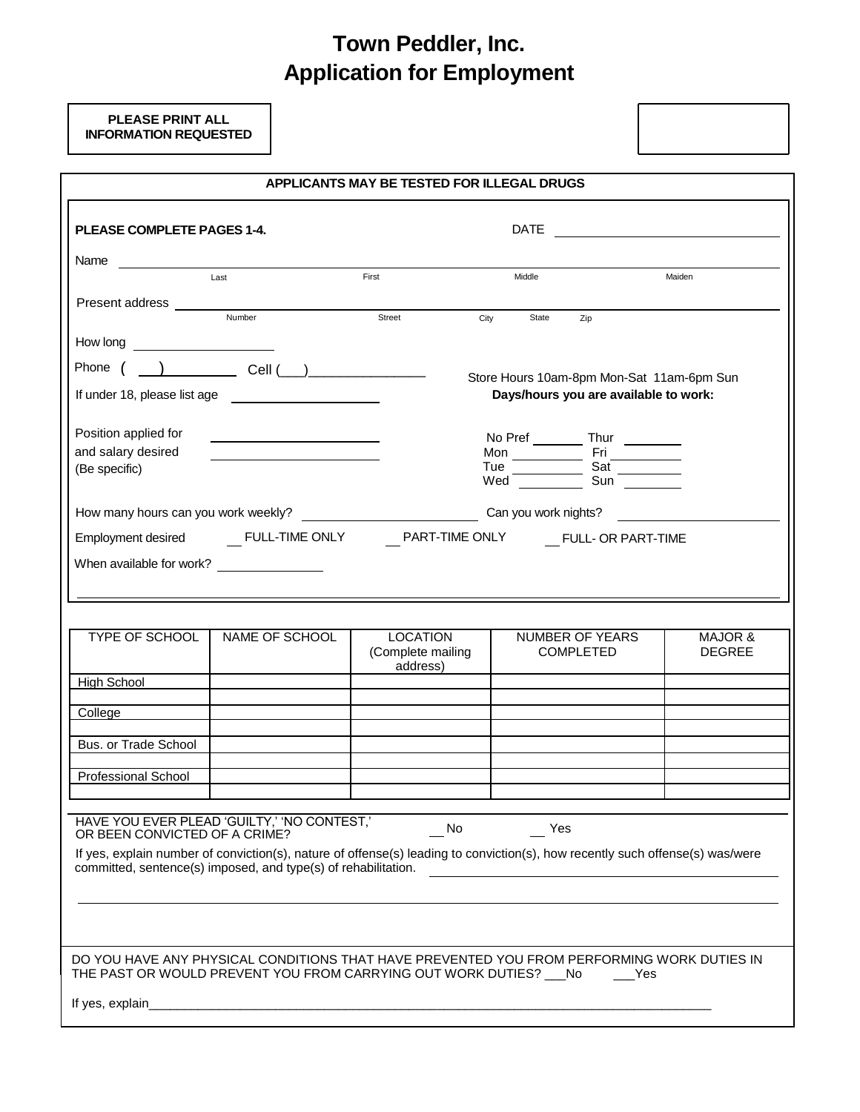## **Town Peddler, Inc. Application for Employment**

**PLEASE PRINT ALL INFORMATION REQUESTED**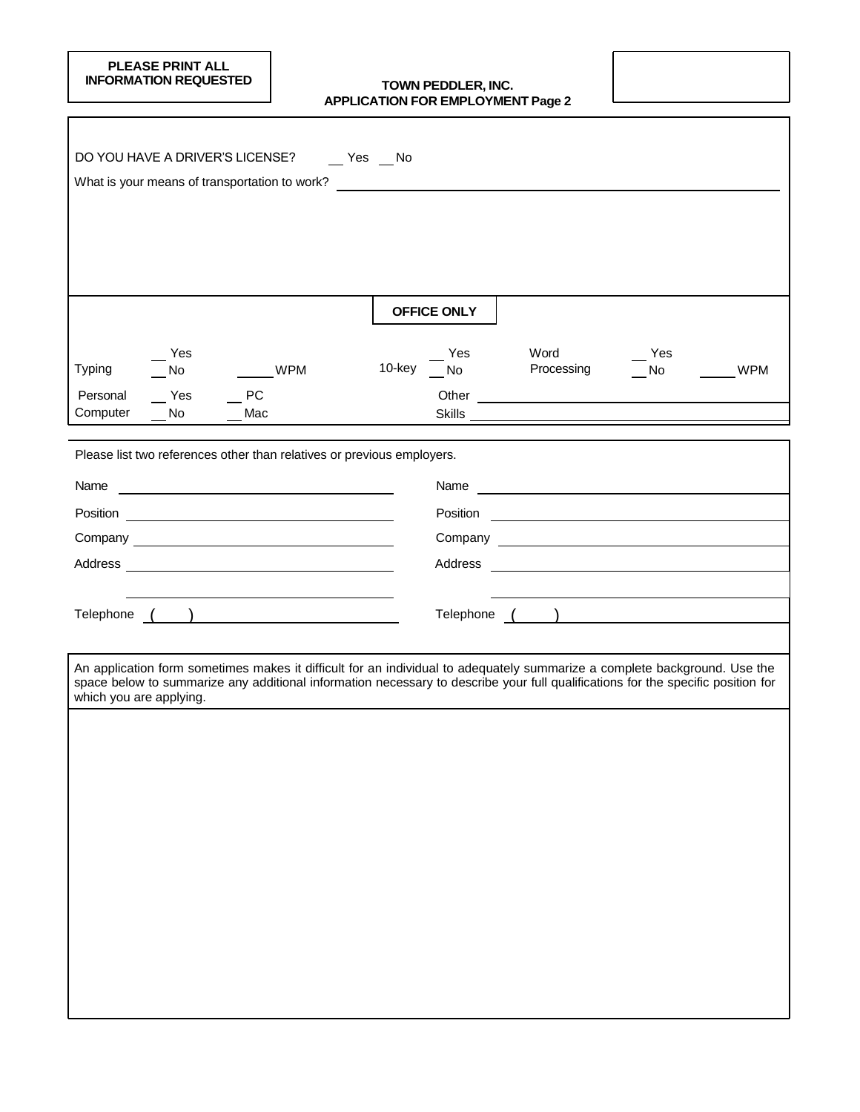# **PLEASE PRINT ALL<br>INFORMATION REQUESTED**

#### **ITOWN PEDDLER, INC. APPLICATION FOR EMPLOYMENT Page 2**

| DO YOU HAVE A DRIVER'S LICENSE? _____ Yes ___ No                                                                             |                                                                                                                                                                                                                                                               |
|------------------------------------------------------------------------------------------------------------------------------|---------------------------------------------------------------------------------------------------------------------------------------------------------------------------------------------------------------------------------------------------------------|
| What is your means of transportation to work?                                                                                |                                                                                                                                                                                                                                                               |
|                                                                                                                              |                                                                                                                                                                                                                                                               |
|                                                                                                                              |                                                                                                                                                                                                                                                               |
|                                                                                                                              |                                                                                                                                                                                                                                                               |
|                                                                                                                              | <b>OFFICE ONLY</b>                                                                                                                                                                                                                                            |
| Yes                                                                                                                          | Word<br>Yes<br>Yes                                                                                                                                                                                                                                            |
| <b>WPM</b><br><b>Typing</b><br>No.                                                                                           | 10-key<br>Processing<br><b>WPM</b><br>No<br>No                                                                                                                                                                                                                |
| PC<br>Personal<br>Yes<br>Computer<br>No<br>Mac                                                                               |                                                                                                                                                                                                                                                               |
|                                                                                                                              |                                                                                                                                                                                                                                                               |
| Please list two references other than relatives or previous employers.                                                       |                                                                                                                                                                                                                                                               |
| Name<br><u> Alexandria de la contrada de la contrada de la contrada de la contrada de la contrada de la contrada de la c</u> | Name and the contract of the contract of the contract of the contract of the contract of the contract of the contract of the contract of the contract of the contract of the contract of the contract of the contract of the c                                |
|                                                                                                                              | Position<br><u> Alexandria de la contrada de la contrada de la contrada de la contrada de la contrada de la contrada de la c</u>                                                                                                                              |
|                                                                                                                              |                                                                                                                                                                                                                                                               |
|                                                                                                                              | Address<br><u> 1980 - Johann Barbara, martxa alemaniar arg</u>                                                                                                                                                                                                |
|                                                                                                                              |                                                                                                                                                                                                                                                               |
|                                                                                                                              | Telephone ( <u>)</u>                                                                                                                                                                                                                                          |
|                                                                                                                              |                                                                                                                                                                                                                                                               |
| which you are applying.                                                                                                      | An application form sometimes makes it difficult for an individual to adequately summarize a complete background. Use the<br>space below to summarize any additional information necessary to describe your full qualifications for the specific position for |
|                                                                                                                              |                                                                                                                                                                                                                                                               |
|                                                                                                                              |                                                                                                                                                                                                                                                               |
|                                                                                                                              |                                                                                                                                                                                                                                                               |
|                                                                                                                              |                                                                                                                                                                                                                                                               |
|                                                                                                                              |                                                                                                                                                                                                                                                               |
|                                                                                                                              |                                                                                                                                                                                                                                                               |
|                                                                                                                              |                                                                                                                                                                                                                                                               |
|                                                                                                                              |                                                                                                                                                                                                                                                               |
|                                                                                                                              |                                                                                                                                                                                                                                                               |
|                                                                                                                              |                                                                                                                                                                                                                                                               |
|                                                                                                                              |                                                                                                                                                                                                                                                               |
|                                                                                                                              |                                                                                                                                                                                                                                                               |
|                                                                                                                              |                                                                                                                                                                                                                                                               |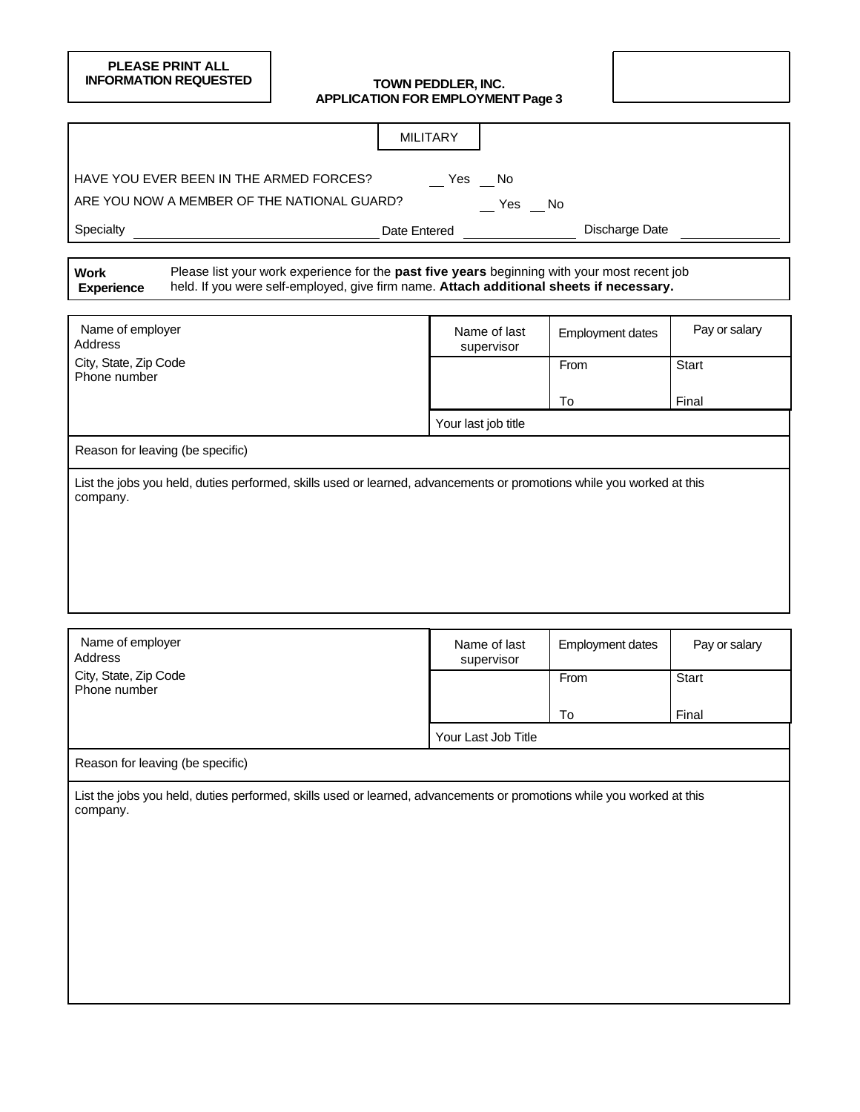### **PLEASE PRINT ALL INFORMATION REQUESTED TOWN PEDDLER, INC.**

# **APPLICATION FOR EMPLOYMENT Page 3**

|                                                                                                                                                                                                                             | <b>MILITARY</b>              |                         |               |
|-----------------------------------------------------------------------------------------------------------------------------------------------------------------------------------------------------------------------------|------------------------------|-------------------------|---------------|
| HAVE YOU EVER BEEN IN THE ARMED FORCES?                                                                                                                                                                                     | Yes No                       |                         |               |
| ARE YOU NOW A MEMBER OF THE NATIONAL GUARD?                                                                                                                                                                                 |                              |                         |               |
|                                                                                                                                                                                                                             | $\sqrt{2}$ Yes $\sqrt{2}$ No |                         |               |
| Specialty                                                                                                                                                                                                                   | Date Entered                 | Discharge Date          |               |
| Please list your work experience for the past five years beginning with your most recent job<br><b>Work</b><br>held. If you were self-employed, give firm name. Attach additional sheets if necessary.<br><b>Experience</b> |                              |                         |               |
| Name of employer<br>Address                                                                                                                                                                                                 | Name of last<br>supervisor   | <b>Employment dates</b> | Pay or salary |
| City, State, Zip Code<br>Phone number                                                                                                                                                                                       |                              | From                    | Start         |
|                                                                                                                                                                                                                             |                              | To                      | Final         |
|                                                                                                                                                                                                                             | Your last job title          |                         |               |
| Reason for leaving (be specific)                                                                                                                                                                                            |                              |                         |               |
|                                                                                                                                                                                                                             |                              |                         |               |
| Name of employer<br>Address                                                                                                                                                                                                 | Name of last<br>supervisor   | Employment dates        | Pay or salary |
| City, State, Zip Code<br>Phone number                                                                                                                                                                                       |                              | From                    | Start         |
|                                                                                                                                                                                                                             |                              |                         |               |
|                                                                                                                                                                                                                             | Your Last Job Title          | To                      | Final         |
|                                                                                                                                                                                                                             |                              |                         |               |
| Reason for leaving (be specific)                                                                                                                                                                                            |                              |                         |               |
| List the jobs you held, duties performed, skills used or learned, advancements or promotions while you worked at this<br>company.                                                                                           |                              |                         |               |